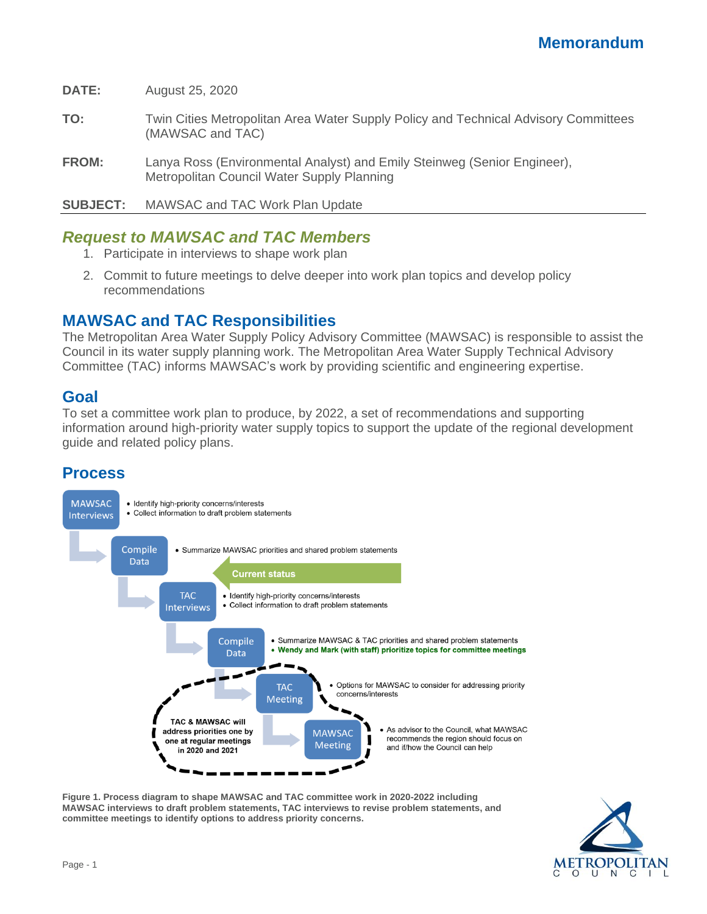**DATE:** August 25, 2020

- **TO:** Twin Cities Metropolitan Area Water Supply Policy and Technical Advisory Committees (MAWSAC and TAC)
- **FROM:** Lanya Ross (Environmental Analyst) and Emily Steinweg (Senior Engineer), Metropolitan Council Water Supply Planning

**SUBJECT:** MAWSAC and TAC Work Plan Update

# *Request to MAWSAC and TAC Members*

- 1. Participate in interviews to shape work plan
- 2. Commit to future meetings to delve deeper into work plan topics and develop policy recommendations

## **MAWSAC and TAC Responsibilities**

The Metropolitan Area Water Supply Policy Advisory Committee (MAWSAC) is responsible to assist the Council in its water supply planning work. The Metropolitan Area Water Supply Technical Advisory Committee (TAC) informs MAWSAC's work by providing scientific and engineering expertise.

## **Goal**

To set a committee work plan to produce, by 2022, a set of recommendations and supporting information around high-priority water supply topics to support the update of the regional development guide and related policy plans.

# **Process**



**Figure 1. Process diagram to shape MAWSAC and TAC committee work in 2020-2022 including MAWSAC interviews to draft problem statements, TAC interviews to revise problem statements, and committee meetings to identify options to address priority concerns.**